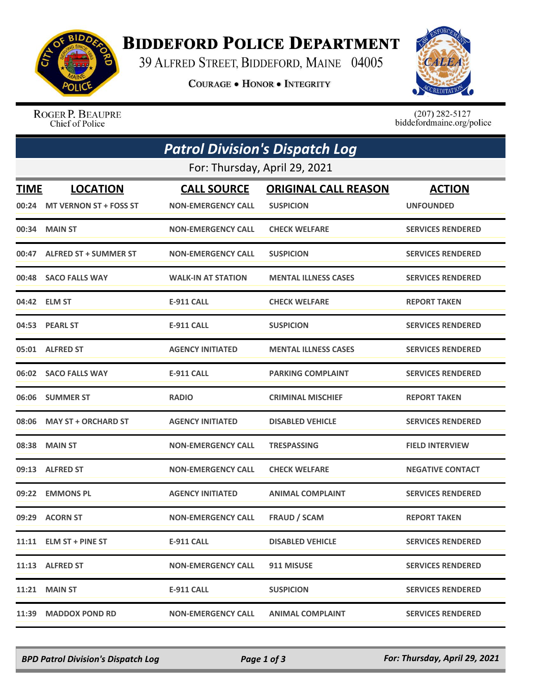

## **BIDDEFORD POLICE DEPARTMENT**

39 ALFRED STREET, BIDDEFORD, MAINE 04005

**COURAGE . HONOR . INTEGRITY** 



ROGER P. BEAUPRE Chief of Police

 $(207)$  282-5127<br>biddefordmaine.org/police

|             | <b>Patrol Division's Dispatch Log</b> |                           |                             |                          |  |  |  |
|-------------|---------------------------------------|---------------------------|-----------------------------|--------------------------|--|--|--|
|             | For: Thursday, April 29, 2021         |                           |                             |                          |  |  |  |
| <b>TIME</b> | <b>LOCATION</b>                       | <b>CALL SOURCE</b>        | <b>ORIGINAL CALL REASON</b> | <b>ACTION</b>            |  |  |  |
|             | 00:24 MT VERNON ST + FOSS ST          | <b>NON-EMERGENCY CALL</b> | <b>SUSPICION</b>            | <b>UNFOUNDED</b>         |  |  |  |
|             | 00:34 MAIN ST                         | <b>NON-EMERGENCY CALL</b> | <b>CHECK WELFARE</b>        | <b>SERVICES RENDERED</b> |  |  |  |
| 00:47       | <b>ALFRED ST + SUMMER ST</b>          | <b>NON-EMERGENCY CALL</b> | <b>SUSPICION</b>            | <b>SERVICES RENDERED</b> |  |  |  |
|             | 00:48 SACO FALLS WAY                  | <b>WALK-IN AT STATION</b> | <b>MENTAL ILLNESS CASES</b> | <b>SERVICES RENDERED</b> |  |  |  |
|             | 04:42 ELM ST                          | <b>E-911 CALL</b>         | <b>CHECK WELFARE</b>        | <b>REPORT TAKEN</b>      |  |  |  |
|             | 04:53 PEARL ST                        | E-911 CALL                | <b>SUSPICION</b>            | <b>SERVICES RENDERED</b> |  |  |  |
|             | 05:01 ALFRED ST                       | <b>AGENCY INITIATED</b>   | <b>MENTAL ILLNESS CASES</b> | <b>SERVICES RENDERED</b> |  |  |  |
|             | 06:02 SACO FALLS WAY                  | E-911 CALL                | <b>PARKING COMPLAINT</b>    | <b>SERVICES RENDERED</b> |  |  |  |
|             | 06:06 SUMMER ST                       | <b>RADIO</b>              | <b>CRIMINAL MISCHIEF</b>    | <b>REPORT TAKEN</b>      |  |  |  |
|             | 08:06 MAY ST + ORCHARD ST             | <b>AGENCY INITIATED</b>   | <b>DISABLED VEHICLE</b>     | <b>SERVICES RENDERED</b> |  |  |  |
|             | 08:38 MAIN ST                         | <b>NON-EMERGENCY CALL</b> | <b>TRESPASSING</b>          | <b>FIELD INTERVIEW</b>   |  |  |  |
| 09:13       | <b>ALFRED ST</b>                      | <b>NON-EMERGENCY CALL</b> | <b>CHECK WELFARE</b>        | <b>NEGATIVE CONTACT</b>  |  |  |  |
| 09:22       | <b>EMMONS PL</b>                      | <b>AGENCY INITIATED</b>   | <b>ANIMAL COMPLAINT</b>     | <b>SERVICES RENDERED</b> |  |  |  |
|             | 09:29 ACORN ST                        | <b>NON-EMERGENCY CALL</b> | <b>FRAUD / SCAM</b>         | <b>REPORT TAKEN</b>      |  |  |  |
|             | $11:11$ ELM ST + PINE ST              | E-911 CALL                | <b>DISABLED VEHICLE</b>     | <b>SERVICES RENDERED</b> |  |  |  |
|             | 11:13 ALFRED ST                       | <b>NON-EMERGENCY CALL</b> | 911 MISUSE                  | <b>SERVICES RENDERED</b> |  |  |  |
|             | <b>11:21 MAIN ST</b>                  | <b>E-911 CALL</b>         | <b>SUSPICION</b>            | <b>SERVICES RENDERED</b> |  |  |  |
| 11:39       | <b>MADDOX POND RD</b>                 | <b>NON-EMERGENCY CALL</b> | <b>ANIMAL COMPLAINT</b>     | <b>SERVICES RENDERED</b> |  |  |  |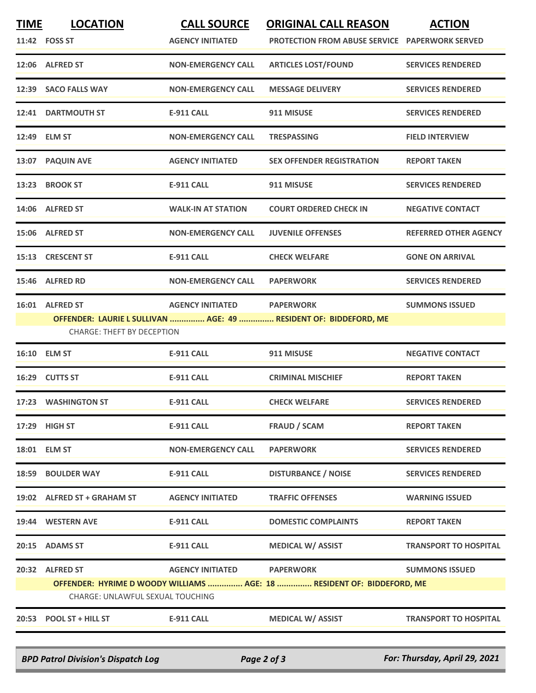| <b>TIME</b> | <b>LOCATION</b>                   | <b>CALL SOURCE</b>        | <b>ORIGINAL CALL REASON</b>                                                          | <b>ACTION</b>                |
|-------------|-----------------------------------|---------------------------|--------------------------------------------------------------------------------------|------------------------------|
|             | 11:42 FOSS ST                     | <b>AGENCY INITIATED</b>   | <b>PROTECTION FROM ABUSE SERVICE PAPERWORK SERVED</b>                                |                              |
|             | 12:06 ALFRED ST                   | <b>NON-EMERGENCY CALL</b> | <b>ARTICLES LOST/FOUND</b>                                                           | <b>SERVICES RENDERED</b>     |
|             | 12:39 SACO FALLS WAY              | <b>NON-EMERGENCY CALL</b> | <b>MESSAGE DELIVERY</b>                                                              | <b>SERVICES RENDERED</b>     |
|             | 12:41 DARTMOUTH ST                | E-911 CALL                | 911 MISUSE                                                                           | <b>SERVICES RENDERED</b>     |
|             | 12:49 ELM ST                      | <b>NON-EMERGENCY CALL</b> | <b>TRESPASSING</b>                                                                   | <b>FIELD INTERVIEW</b>       |
|             | 13:07 PAQUIN AVE                  | <b>AGENCY INITIATED</b>   | <b>SEX OFFENDER REGISTRATION</b>                                                     | <b>REPORT TAKEN</b>          |
| 13:23       | <b>BROOK ST</b>                   | <b>E-911 CALL</b>         | 911 MISUSE                                                                           | <b>SERVICES RENDERED</b>     |
|             | 14:06 ALFRED ST                   | <b>WALK-IN AT STATION</b> | <b>COURT ORDERED CHECK IN</b>                                                        | <b>NEGATIVE CONTACT</b>      |
|             | 15:06 ALFRED ST                   | <b>NON-EMERGENCY CALL</b> | <b>JUVENILE OFFENSES</b>                                                             | <b>REFERRED OTHER AGENCY</b> |
|             | 15:13 CRESCENT ST                 | <b>E-911 CALL</b>         | <b>CHECK WELFARE</b>                                                                 | <b>GONE ON ARRIVAL</b>       |
|             | 15:46 ALFRED RD                   | <b>NON-EMERGENCY CALL</b> | <b>PAPERWORK</b>                                                                     | <b>SERVICES RENDERED</b>     |
|             | 16:01 ALFRED ST                   | <b>AGENCY INITIATED</b>   | <b>PAPERWORK</b><br>OFFENDER: LAURIE L SULLIVAN  AGE: 49  RESIDENT OF: BIDDEFORD, ME | <b>SUMMONS ISSUED</b>        |
|             | <b>CHARGE: THEFT BY DECEPTION</b> |                           |                                                                                      |                              |
|             | 16:10 ELM ST                      | <b>E-911 CALL</b>         | 911 MISUSE                                                                           | <b>NEGATIVE CONTACT</b>      |
|             | 16:29 CUTTS ST                    | <b>E-911 CALL</b>         | <b>CRIMINAL MISCHIEF</b>                                                             | <b>REPORT TAKEN</b>          |
|             | 17:23 WASHINGTON ST               | <b>E-911 CALL</b>         | <b>CHECK WELFARE</b>                                                                 | <b>SERVICES RENDERED</b>     |
|             | 17:29 HIGH ST                     | <b>E-911 CALL</b>         | <b>FRAUD / SCAM</b>                                                                  | <b>REPORT TAKEN</b>          |
|             | 18:01 ELM ST                      | <b>NON-EMERGENCY CALL</b> | <b>PAPERWORK</b>                                                                     | <b>SERVICES RENDERED</b>     |
| 18:59       | <b>BOULDER WAY</b>                | <b>E-911 CALL</b>         | <b>DISTURBANCE / NOISE</b>                                                           | <b>SERVICES RENDERED</b>     |
|             | 19:02 ALFRED ST + GRAHAM ST       | <b>AGENCY INITIATED</b>   | <b>TRAFFIC OFFENSES</b>                                                              | <b>WARNING ISSUED</b>        |
|             | 19:44 WESTERN AVE                 | E-911 CALL                | <b>DOMESTIC COMPLAINTS</b>                                                           | <b>REPORT TAKEN</b>          |
|             | 20:15 ADAMS ST                    | <b>E-911 CALL</b>         | <b>MEDICAL W/ ASSIST</b>                                                             | <b>TRANSPORT TO HOSPITAL</b> |
|             | 20:32 ALFRED ST                   | <b>AGENCY INITIATED</b>   | <b>PAPERWORK</b>                                                                     | <b>SUMMONS ISSUED</b>        |
|             |                                   |                           | OFFENDER: HYRIME D WOODY WILLIAMS  AGE: 18  RESIDENT OF: BIDDEFORD, ME               |                              |
|             | CHARGE: UNLAWFUL SEXUAL TOUCHING  |                           |                                                                                      |                              |
|             | 20:53 POOL ST + HILL ST           | E-911 CALL                | <b>MEDICAL W/ ASSIST</b>                                                             | <b>TRANSPORT TO HOSPITAL</b> |

*BPD Patrol Division's Dispatch Log Page 2 of 3 For: Thursday, April 29, 2021*